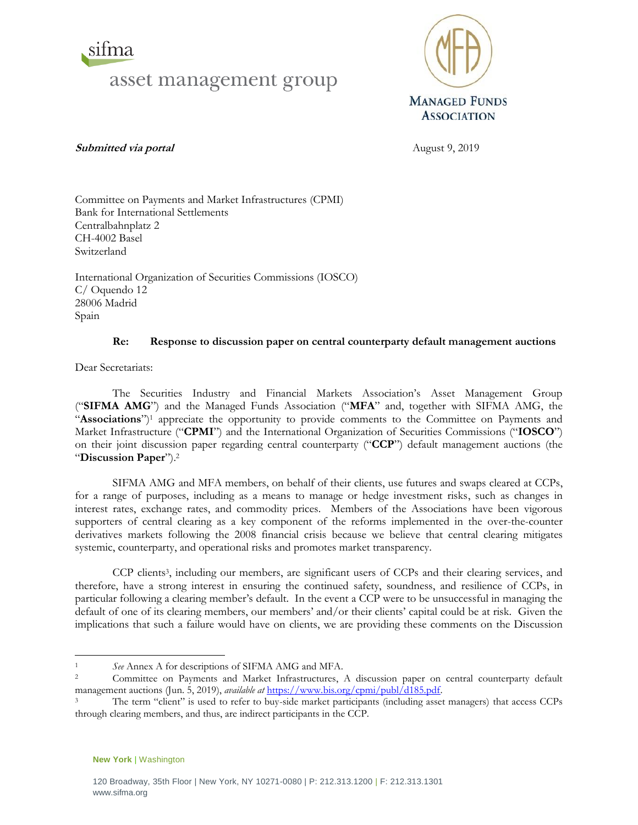



**Submitted via portal** August 9, 2019

Committee on Payments and Market Infrastructures (CPMI) Bank for International Settlements Centralbahnplatz 2 CH-4002 Basel Switzerland

International Organization of Securities Commissions (IOSCO) C/ Oquendo 12 28006 Madrid Spain

# **Re: Response to discussion paper on central counterparty default management auctions**

Dear Secretariats:

The Securities Industry and Financial Markets Association's Asset Management Group ("**SIFMA AMG**") and the Managed Funds Association ("**MFA**" and, together with SIFMA AMG, the "Associations")<sup>1</sup> appreciate the opportunity to provide comments to the Committee on Payments and Market Infrastructure ("**CPMI**") and the International Organization of Securities Commissions ("**IOSCO**") on their joint discussion paper regarding central counterparty ("**CCP**") default management auctions (the "**Discussion Paper**").<sup>2</sup>

SIFMA AMG and MFA members, on behalf of their clients, use futures and swaps cleared at CCPs, for a range of purposes, including as a means to manage or hedge investment risks, such as changes in interest rates, exchange rates, and commodity prices. Members of the Associations have been vigorous supporters of central clearing as a key component of the reforms implemented in the over-the-counter derivatives markets following the 2008 financial crisis because we believe that central clearing mitigates systemic, counterparty, and operational risks and promotes market transparency.

CCP clients 3 , including our members, are significant users of CCPs and their clearing services, and therefore, have a strong interest in ensuring the continued safety, soundness, and resilience of CCPs, in particular following a clearing member's default. In the event a CCP were to be unsuccessful in managing the default of one of its clearing members, our members' and/or their clients' capital could be at risk. Given the implications that such a failure would have on clients, we are providing these comments on the Discussion

**New York** | Washington

 $\overline{a}$ <sup>1</sup> *See* Annex A for descriptions of SIFMA AMG and MFA.

<sup>2</sup> Committee on Payments and Market Infrastructures, A discussion paper on central counterparty default management auctions (Jun. 5, 2019), *available at* [https://www.bis.org/cpmi/publ/d185.pdf.](https://www.bis.org/cpmi/publ/d185.pdf)

The term "client" is used to refer to buy-side market participants (including asset managers) that access CCPs through clearing members, and thus, are indirect participants in the CCP.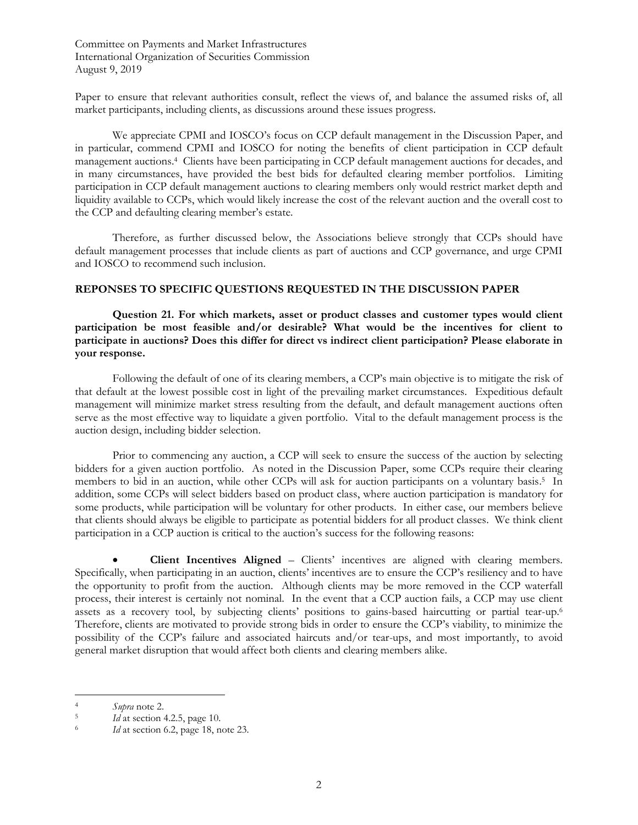Paper to ensure that relevant authorities consult, reflect the views of, and balance the assumed risks of, all market participants, including clients, as discussions around these issues progress.

We appreciate CPMI and IOSCO's focus on CCP default management in the Discussion Paper, and in particular, commend CPMI and IOSCO for noting the benefits of client participation in CCP default management auctions.<sup>4</sup> Clients have been participating in CCP default management auctions for decades, and in many circumstances, have provided the best bids for defaulted clearing member portfolios. Limiting participation in CCP default management auctions to clearing members only would restrict market depth and liquidity available to CCPs, which would likely increase the cost of the relevant auction and the overall cost to the CCP and defaulting clearing member's estate.

Therefore, as further discussed below, the Associations believe strongly that CCPs should have default management processes that include clients as part of auctions and CCP governance, and urge CPMI and IOSCO to recommend such inclusion.

## **REPONSES TO SPECIFIC QUESTIONS REQUESTED IN THE DISCUSSION PAPER**

**Question 21. For which markets, asset or product classes and customer types would client participation be most feasible and/or desirable? What would be the incentives for client to participate in auctions? Does this differ for direct vs indirect client participation? Please elaborate in your response.**

Following the default of one of its clearing members, a CCP's main objective is to mitigate the risk of that default at the lowest possible cost in light of the prevailing market circumstances. Expeditious default management will minimize market stress resulting from the default, and default management auctions often serve as the most effective way to liquidate a given portfolio. Vital to the default management process is the auction design, including bidder selection.

Prior to commencing any auction, a CCP will seek to ensure the success of the auction by selecting bidders for a given auction portfolio. As noted in the Discussion Paper, some CCPs require their clearing members to bid in an auction, while other CCPs will ask for auction participants on a voluntary basis. 5 In addition, some CCPs will select bidders based on product class, where auction participation is mandatory for some products, while participation will be voluntary for other products. In either case, our members believe that clients should always be eligible to participate as potential bidders for all product classes. We think client participation in a CCP auction is critical to the auction's success for the following reasons:

• **Client Incentives Aligned** – Clients' incentives are aligned with clearing members. Specifically, when participating in an auction, clients' incentives are to ensure the CCP's resiliency and to have the opportunity to profit from the auction. Although clients may be more removed in the CCP waterfall process, their interest is certainly not nominal. In the event that a CCP auction fails, a CCP may use client assets as a recovery tool, by subjecting clients' positions to gains-based haircutting or partial tear-up.<sup>6</sup> Therefore, clients are motivated to provide strong bids in order to ensure the CCP's viability, to minimize the possibility of the CCP's failure and associated haircuts and/or tear-ups, and most importantly, to avoid general market disruption that would affect both clients and clearing members alike.

 $\overline{a}$ 

<sup>4</sup> *Supra* note 2.

<sup>5</sup> *Id* at section 4.2.5, page 10.

<sup>6</sup> *Id* at section 6.2, page 18, note 23.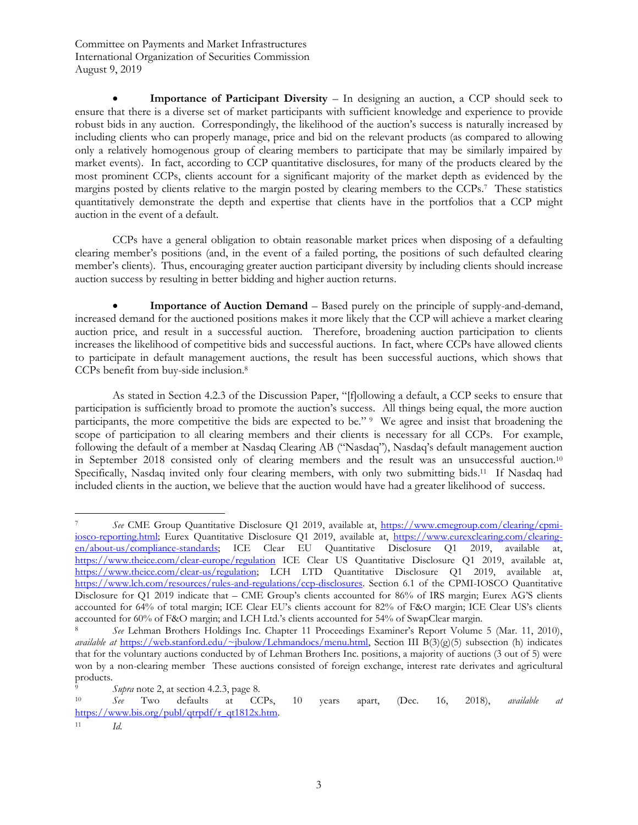**Importance of Participant Diversity** – In designing an auction, a CCP should seek to ensure that there is a diverse set of market participants with sufficient knowledge and experience to provide robust bids in any auction. Correspondingly, the likelihood of the auction's success is naturally increased by including clients who can properly manage, price and bid on the relevant products (as compared to allowing only a relatively homogenous group of clearing members to participate that may be similarly impaired by market events). In fact, according to CCP quantitative disclosures, for many of the products cleared by the most prominent CCPs, clients account for a significant majority of the market depth as evidenced by the margins posted by clients relative to the margin posted by clearing members to the CCPs. <sup>7</sup> These statistics quantitatively demonstrate the depth and expertise that clients have in the portfolios that a CCP might auction in the event of a default.

CCPs have a general obligation to obtain reasonable market prices when disposing of a defaulting clearing member's positions (and, in the event of a failed porting, the positions of such defaulted clearing member's clients). Thus, encouraging greater auction participant diversity by including clients should increase auction success by resulting in better bidding and higher auction returns.

• **Importance of Auction Demand** – Based purely on the principle of supply-and-demand, increased demand for the auctioned positions makes it more likely that the CCP will achieve a market clearing auction price, and result in a successful auction. Therefore, broadening auction participation to clients increases the likelihood of competitive bids and successful auctions. In fact, where CCPs have allowed clients to participate in default management auctions, the result has been successful auctions, which shows that CCPs benefit from buy-side inclusion.<sup>8</sup>

As stated in Section 4.2.3 of the Discussion Paper, "[f]ollowing a default, a CCP seeks to ensure that participation is sufficiently broad to promote the auction's success. All things being equal, the more auction participants, the more competitive the bids are expected to be." <sup>9</sup> We agree and insist that broadening the scope of participation to all clearing members and their clients is necessary for all CCPs. For example, following the default of a member at Nasdaq Clearing AB ("Nasdaq"), Nasdaq's default management auction in September 2018 consisted only of clearing members and the result was an unsuccessful auction.<sup>10</sup> Specifically, Nasdaq invited only four clearing members, with only two submitting bids.<sup>11</sup> If Nasdaq had included clients in the auction, we believe that the auction would have had a greater likelihood of success.

 $\overline{a}$ <sup>7</sup> *See* CME Group Quantitative Disclosure Q1 2019, available at, [https://www.cmegroup.com/clearing/cpmi](https://www.cmegroup.com/clearing/cpmi-iosco-reporting.html)[iosco-reporting.html;](https://www.cmegroup.com/clearing/cpmi-iosco-reporting.html) Eurex Quantitative Disclosure Q1 2019, available at, [https://www.eurexclearing.com/clearing](https://www.eurexclearing.com/clearing-en/about-us/compliance-standards)[en/about-us/compliance-standards;](https://www.eurexclearing.com/clearing-en/about-us/compliance-standards) ICE Clear EU Quantitative Disclosure Q1 2019, available at, <https://www.theice.com/clear-europe/regulation> ICE Clear US Quantitative Disclosure Q1 2019, available at, [https://www.theice.com/clear-us/regulation;](https://www.theice.com/clear-us/regulation) LCH LTD Quantitative Disclosure Q1 2019, available at, [https://www.lch.com/resources/rules-and-regulations/ccp-disclosures.](https://www.lch.com/resources/rules-and-regulations/ccp-disclosures) Section 6.1 of the CPMI-IOSCO Quantitative Disclosure for Q1 2019 indicate that – CME Group's clients accounted for 86% of IRS margin; Eurex AG'S clients accounted for 64% of total margin; ICE Clear EU's clients account for 82% of F&O margin; ICE Clear US's clients accounted for 60% of F&O margin; and LCH Ltd.'s clients accounted for 54% of SwapClear margin.

<sup>8</sup> *See* Lehman Brothers Holdings Inc. Chapter 11 Proceedings Examiner's Report Volume 5 (Mar. 11, 2010), *available at* [https://web.stanford.edu/~jbulow/Lehmandocs/menu.html,](https://web.stanford.edu/~jbulow/Lehmandocs/menu.html) Section III B(3)(g)(5) subsection (h) indicates that for the voluntary auctions conducted by of Lehman Brothers Inc. positions, a majority of auctions (3 out of 5) were won by a non-clearing member These auctions consisted of foreign exchange, interest rate derivates and agricultural products.

<sup>&</sup>lt;sup>9</sup> *Supra* note 2, at section 4.2.3, page 8.<br><sup>10</sup> *See* Two defaults at CC

<sup>10</sup> *See* Two defaults at CCPs, 10 years apart, (Dec. 16, 2018), *available at* [https://www.bis.org/publ/qtrpdf/r\\_qt1812x.htm.](https://www.bis.org/publ/qtrpdf/r_qt1812x.htm)

<sup>11</sup> *Id.*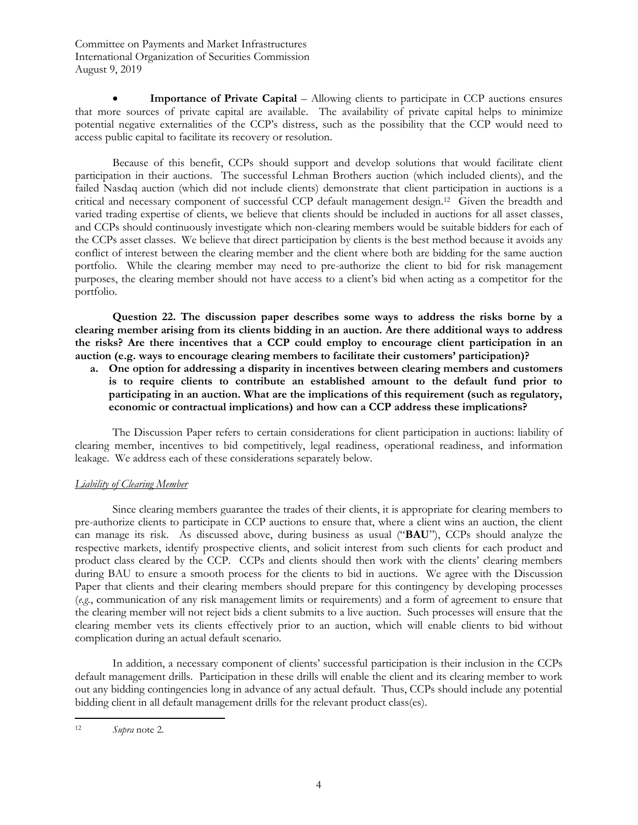**Importance of Private Capital** – Allowing clients to participate in CCP auctions ensures that more sources of private capital are available. The availability of private capital helps to minimize potential negative externalities of the CCP's distress, such as the possibility that the CCP would need to access public capital to facilitate its recovery or resolution.

Because of this benefit, CCPs should support and develop solutions that would facilitate client participation in their auctions. The successful Lehman Brothers auction (which included clients), and the failed Nasdaq auction (which did not include clients) demonstrate that client participation in auctions is a critical and necessary component of successful CCP default management design. 12 Given the breadth and varied trading expertise of clients, we believe that clients should be included in auctions for all asset classes, and CCPs should continuously investigate which non-clearing members would be suitable bidders for each of the CCPs asset classes. We believe that direct participation by clients is the best method because it avoids any conflict of interest between the clearing member and the client where both are bidding for the same auction portfolio. While the clearing member may need to pre-authorize the client to bid for risk management purposes, the clearing member should not have access to a client's bid when acting as a competitor for the portfolio.

**Question 22. The discussion paper describes some ways to address the risks borne by a clearing member arising from its clients bidding in an auction. Are there additional ways to address the risks? Are there incentives that a CCP could employ to encourage client participation in an auction (e.g. ways to encourage clearing members to facilitate their customers' participation)?** 

**a. One option for addressing a disparity in incentives between clearing members and customers is to require clients to contribute an established amount to the default fund prior to participating in an auction. What are the implications of this requirement (such as regulatory, economic or contractual implications) and how can a CCP address these implications?**

The Discussion Paper refers to certain considerations for client participation in auctions: liability of clearing member, incentives to bid competitively, legal readiness, operational readiness, and information leakage. We address each of these considerations separately below.

# *Liability of Clearing Member*

Since clearing members guarantee the trades of their clients, it is appropriate for clearing members to pre-authorize clients to participate in CCP auctions to ensure that, where a client wins an auction, the client can manage its risk. As discussed above, during business as usual ("**BAU**"), CCPs should analyze the respective markets, identify prospective clients, and solicit interest from such clients for each product and product class cleared by the CCP. CCPs and clients should then work with the clients' clearing members during BAU to ensure a smooth process for the clients to bid in auctions. We agree with the Discussion Paper that clients and their clearing members should prepare for this contingency by developing processes (*e.g.*, communication of any risk management limits or requirements) and a form of agreement to ensure that the clearing member will not reject bids a client submits to a live auction. Such processes will ensure that the clearing member vets its clients effectively prior to an auction, which will enable clients to bid without complication during an actual default scenario.

In addition, a necessary component of clients' successful participation is their inclusion in the CCPs default management drills. Participation in these drills will enable the client and its clearing member to work out any bidding contingencies long in advance of any actual default. Thus, CCPs should include any potential bidding client in all default management drills for the relevant product class(es).

 $\overline{a}$ <sup>12</sup> *Supra* note 2.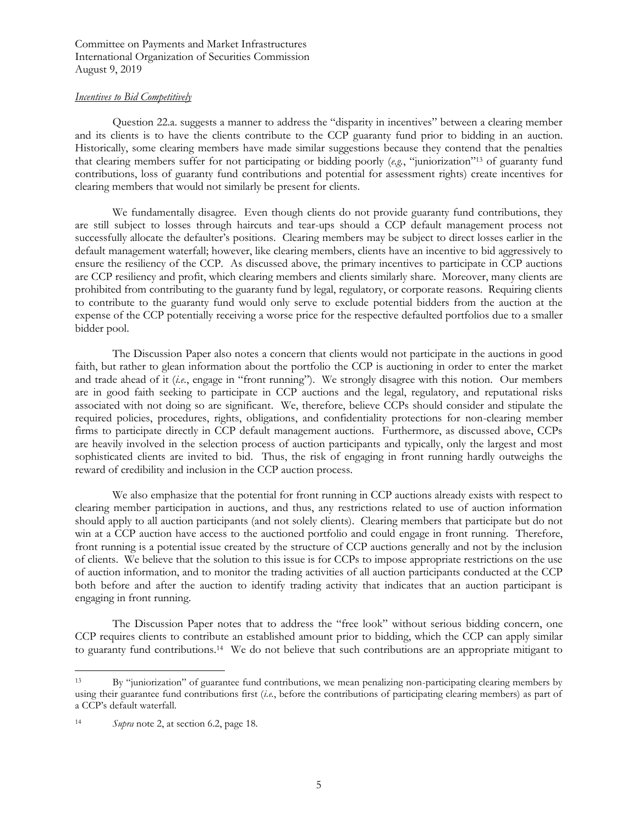## *Incentives to Bid Competitively*

Question 22.a. suggests a manner to address the "disparity in incentives" between a clearing member and its clients is to have the clients contribute to the CCP guaranty fund prior to bidding in an auction. Historically, some clearing members have made similar suggestions because they contend that the penalties that clearing members suffer for not participating or bidding poorly (*e.g.*, "juniorization"<sup>13</sup> of guaranty fund contributions, loss of guaranty fund contributions and potential for assessment rights) create incentives for clearing members that would not similarly be present for clients.

We fundamentally disagree. Even though clients do not provide guaranty fund contributions, they are still subject to losses through haircuts and tear-ups should a CCP default management process not successfully allocate the defaulter's positions. Clearing members may be subject to direct losses earlier in the default management waterfall; however, like clearing members, clients have an incentive to bid aggressively to ensure the resiliency of the CCP. As discussed above, the primary incentives to participate in CCP auctions are CCP resiliency and profit, which clearing members and clients similarly share. Moreover, many clients are prohibited from contributing to the guaranty fund by legal, regulatory, or corporate reasons. Requiring clients to contribute to the guaranty fund would only serve to exclude potential bidders from the auction at the expense of the CCP potentially receiving a worse price for the respective defaulted portfolios due to a smaller bidder pool.

The Discussion Paper also notes a concern that clients would not participate in the auctions in good faith, but rather to glean information about the portfolio the CCP is auctioning in order to enter the market and trade ahead of it (*i.e.*, engage in "front running"). We strongly disagree with this notion. Our members are in good faith seeking to participate in CCP auctions and the legal, regulatory, and reputational risks associated with not doing so are significant. We, therefore, believe CCPs should consider and stipulate the required policies, procedures, rights, obligations, and confidentiality protections for non-clearing member firms to participate directly in CCP default management auctions. Furthermore, as discussed above, CCPs are heavily involved in the selection process of auction participants and typically, only the largest and most sophisticated clients are invited to bid. Thus, the risk of engaging in front running hardly outweighs the reward of credibility and inclusion in the CCP auction process.

We also emphasize that the potential for front running in CCP auctions already exists with respect to clearing member participation in auctions, and thus, any restrictions related to use of auction information should apply to all auction participants (and not solely clients). Clearing members that participate but do not win at a CCP auction have access to the auctioned portfolio and could engage in front running. Therefore, front running is a potential issue created by the structure of CCP auctions generally and not by the inclusion of clients. We believe that the solution to this issue is for CCPs to impose appropriate restrictions on the use of auction information, and to monitor the trading activities of all auction participants conducted at the CCP both before and after the auction to identify trading activity that indicates that an auction participant is engaging in front running.

The Discussion Paper notes that to address the "free look" without serious bidding concern, one CCP requires clients to contribute an established amount prior to bidding, which the CCP can apply similar to guaranty fund contributions.<sup>14</sup> We do not believe that such contributions are an appropriate mitigant to

 $\overline{a}$ <sup>13</sup> By "juniorization" of guarantee fund contributions, we mean penalizing non-participating clearing members by using their guarantee fund contributions first (*i.e.*, before the contributions of participating clearing members) as part of a CCP's default waterfall.

<sup>14</sup> *Supra* note 2, at section 6.2, page 18.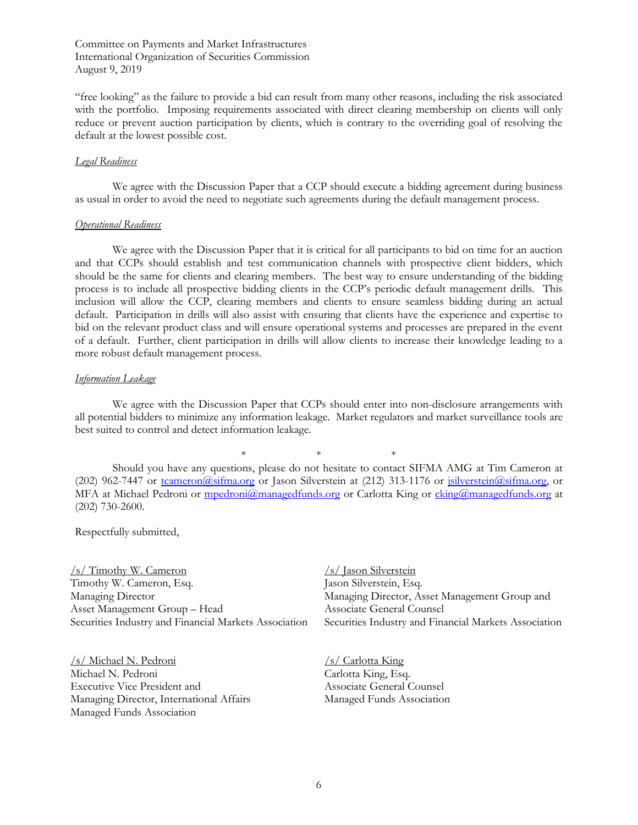"free looking" as the failure to provide a bid can result from many other reasons, including the risk associated with the portfolio. Imposing requirements associated with direct clearing membership on clients will only reduce or prevent auction participation by clients, which is contrary to the overriding goal of resolving the default at the lowest possible cost.

### *Legal Readiness*

We agree with the Discussion Paper that a CCP should execute a bidding agreement during business as usual in order to avoid the need to negotiate such agreements during the default management process.

#### *Operational Readiness*

We agree with the Discussion Paper that it is critical for all participants to bid on time for an auction and that CCPs should establish and test communication channels with prospective client bidders, which should be the same for clients and clearing members. The best way to ensure understanding of the bidding process is to include all prospective bidding clients in the CCP's periodic default management drills. This inclusion will allow the CCP, clearing members and clients to ensure seamless bidding during an actual default. Participation in drills will also assist with ensuring that clients have the experience and expertise to bid on the relevant product class and will ensure operational systems and processes are prepared in the event of a default. Further, client participation in drills will allow clients to increase their knowledge leading to a more robust default management process.

### *Information Leakage*

We agree with the Discussion Paper that CCPs should enter into non-disclosure arrangements with all potential bidders to minimize any information leakage. Market regulators and market surveillance tools are best suited to control and detect information leakage.

 $*$  \* \* \* Should you have any questions, please do not hesitate to contact SIFMA AMG at Tim Cameron at (202) 962-7447 or [tcameron@sifma.org](mailto:tcameron@sifma.org) or Jason Silverstein at (212) 313-1176 or [jsilverstein@sifma.org,](mailto:jsilverstein@sifma.org) or MFA at Michael Pedroni or [mpedroni@managedfunds.org](mailto:mpedroni@managedfunds.org) or Carlotta King or [cking@managedfunds.org](mailto:cking@managedfunds.org) at (202) 730-2600.

Respectfully submitted,

/s/ Timothy W. Cameron Timothy W. Cameron, Esq. Managing Director Asset Management Group – Head Securities Industry and Financial Markets Association

/s/ Michael N. Pedroni Michael N. Pedroni Executive Vice President and Managing Director, International Affairs Managed Funds Association

/s/ Jason Silverstein Jason Silverstein, Esq. Managing Director, Asset Management Group and Associate General Counsel Securities Industry and Financial Markets Association

/s/ Carlotta King Carlotta King, Esq. Associate General Counsel Managed Funds Association